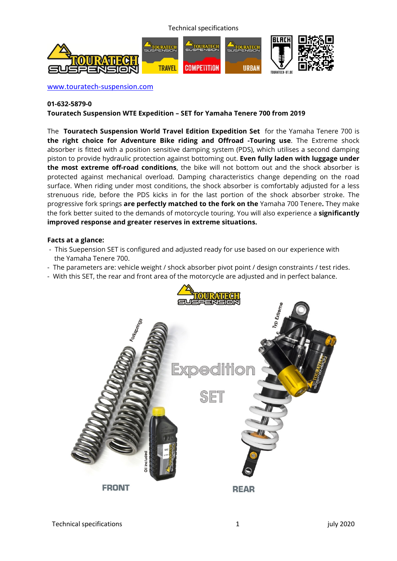Technical specifications



www.touratech-suspension.com

#### **01-632-5879-0**

**Touratech Suspension WTE Expedition – SET for Yamaha Tenere 700 from 2019** 

The **Touratech Suspension World Travel Edition Expedition Set** for the Yamaha Tenere 700 is **the right choice for Adventure Bike riding and Offroad -Touring use**. The Extreme shock absorber is fitted with a position sensitive damping system (PDS), which utilises a second damping piston to provide hydraulic protection against bottoming out. **Even fully laden with luggage under the most extreme off-road conditions**, the bike will not bottom out and the shock absorber is protected against mechanical overload. Damping characteristics change depending on the road surface. When riding under most conditions, the shock absorber is comfortably adjusted for a less strenuous ride, before the PDS kicks in for the last portion of the shock absorber stroke. The progressive fork springs **are perfectly matched to the fork on the** Yamaha 700 Tenere**.** They make the fork better suited to the demands of motorcycle touring. You will also experience a **significantly improved response and greater reserves in extreme situations.**

#### **Facts at a glance:**

- This Suepension SET is configured and adjusted ready for use based on our experience with the Yamaha Tenere 700.
- The parameters are: vehicle weight / shock absorber pivot point / design constraints / test rides.
- With this SET, the rear and front area of the motorcycle are adjusted and in perfect balance.